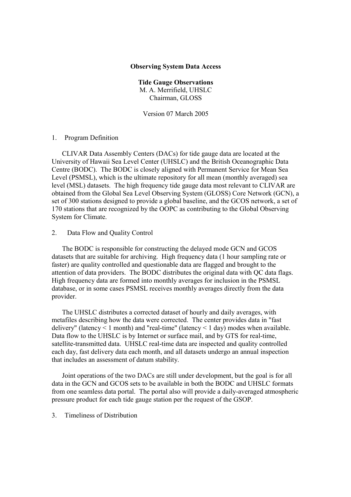## Observing System Data Access

Tide Gauge Observations M. A. Merrifield, UHSLC Chairman, GLOSS

Version 07 March 2005

## 1. Program Definition

CLIVAR Data Assembly Centers (DACs) for tide gauge data are located at the University of Hawaii Sea Level Center (UHSLC) and the British Oceanographic Data Centre (BODC). The BODC is closely aligned with Permanent Service for Mean Sea Level (PSMSL), which is the ultimate repository for all mean (monthly averaged) sea level (MSL) datasets. The high frequency tide gauge data most relevant to CLIVAR are obtained from the Global Sea Level Observing System (GLOSS) Core Network (GCN), a set of 300 stations designed to provide a global baseline, and the GCOS network, a set of 170 stations that are recognized by the OOPC as contributing to the Global Observing System for Climate.

## 2. Data Flow and Quality Control

The BODC is responsible for constructing the delayed mode GCN and GCOS datasets that are suitable for archiving. High frequency data (1 hour sampling rate or faster) are quality controlled and questionable data are flagged and brought to the attention of data providers. The BODC distributes the original data with QC data flags. High frequency data are formed into monthly averages for inclusion in the PSMSL database, or in some cases PSMSL receives monthly averages directly from the data provider.

The UHSLC distributes a corrected dataset of hourly and daily averages, with metafiles describing how the data were corrected. The center provides data in "fast delivery" (latency < 1 month) and "real-time" (latency < 1 day) modes when available. Data flow to the UHSLC is by Internet or surface mail, and by GTS for real-time, satellite-transmitted data. UHSLC real-time data are inspected and quality controlled each day, fast delivery data each month, and all datasets undergo an annual inspection that includes an assessment of datum stability.

Joint operations of the two DACs are still under development, but the goal is for all data in the GCN and GCOS sets to be available in both the BODC and UHSLC formats from one seamless data portal. The portal also will provide a daily-averaged atmospheric pressure product for each tide gauge station per the request of the GSOP.

## 3. Timeliness of Distribution